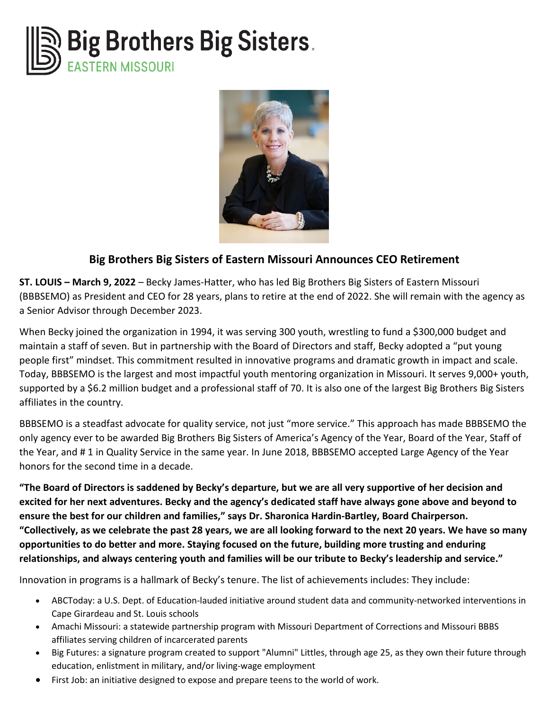



## **Big Brothers Big Sisters of Eastern Missouri Announces CEO Retirement**

**ST. LOUIS – March 9, 2022** – Becky James-Hatter, who has led Big Brothers Big Sisters of Eastern Missouri (BBBSEMO) as President and CEO for 28 years, plans to retire at the end of 2022. She will remain with the agency as a Senior Advisor through December 2023.

When Becky joined the organization in 1994, it was serving 300 youth, wrestling to fund a \$300,000 budget and maintain a staff of seven. But in partnership with the Board of Directors and staff, Becky adopted a "put young people first" mindset. This commitment resulted in innovative programs and dramatic growth in impact and scale. Today, BBBSEMO is the largest and most impactful youth mentoring organization in Missouri. It serves 9,000+ youth, supported by a \$6.2 million budget and a professional staff of 70. It is also one of the largest Big Brothers Big Sisters affiliates in the country.

BBBSEMO is a steadfast advocate for quality service, not just "more service." This approach has made BBBSEMO the only agency ever to be awarded Big Brothers Big Sisters of America's Agency of the Year, Board of the Year, Staff of the Year, and # 1 in Quality Service in the same year. In June 2018, BBBSEMO accepted Large Agency of the Year honors for the second time in a decade.

**"The Board of Directors is saddened by Becky's departure, but we are all very supportive of her decision and excited for her next adventures. Becky and the agency's dedicated staff have always gone above and beyond to ensure the best for our children and families," says Dr. Sharonica Hardin-Bartley, Board Chairperson. "Collectively, as we celebrate the past 28 years, we are all looking forward to the next 20 years. We have so many opportunities to do better and more. Staying focused on the future, building more trusting and enduring relationships, and always centering youth and families will be our tribute to Becky's leadership and service."**

Innovation in programs is a hallmark of Becky's tenure. The list of achievements includes: They include:

- ABCToday: a U.S. Dept. of Education-lauded initiative around student data and community-networked interventions in Cape Girardeau and St. Louis schools
- Amachi Missouri: a statewide partnership program with Missouri Department of Corrections and Missouri BBBS affiliates serving children of incarcerated parents
- Big Futures: a signature program created to support "Alumni" Littles, through age 25, as they own their future through education, enlistment in military, and/or living-wage employment
- First Job: an initiative designed to expose and prepare teens to the world of work.